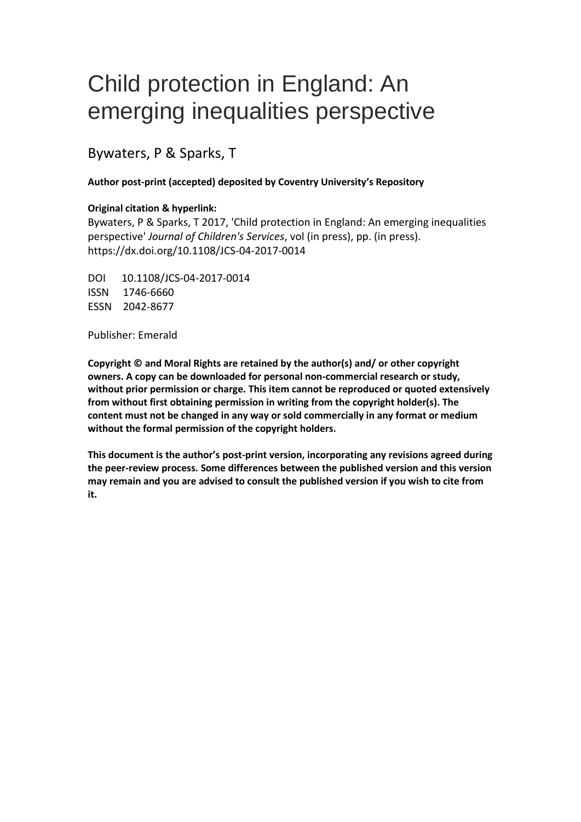# Child protection in England: An emerging inequalities perspective

Bywaters, P & Sparks, T

# **Author post-print (accepted) deposited by Coventry University's Repository**

# **Original citation & hyperlink:**

Bywaters, P & Sparks, T 2017, 'Child protection in England: An emerging inequalities perspective' *Journal of Children's Services*, vol (in press), pp. (in press). https://dx.doi.org/10.1108/JCS-04-2017-0014

DOI 10.1108/JCS-04-2017-0014 ISSN 1746-6660 ESSN 2042-8677

Publisher: Emerald

**Copyright © and Moral Rights are retained by the author(s) and/ or other copyright owners. A copy can be downloaded for personal non-commercial research or study, without prior permission or charge. This item cannot be reproduced or quoted extensively from without first obtaining permission in writing from the copyright holder(s). The content must not be changed in any way or sold commercially in any format or medium without the formal permission of the copyright holders.** 

**This document is the author's post-print version, incorporating any revisions agreed during the peer-review process. Some differences between the published version and this version may remain and you are advised to consult the published version if you wish to cite from it.**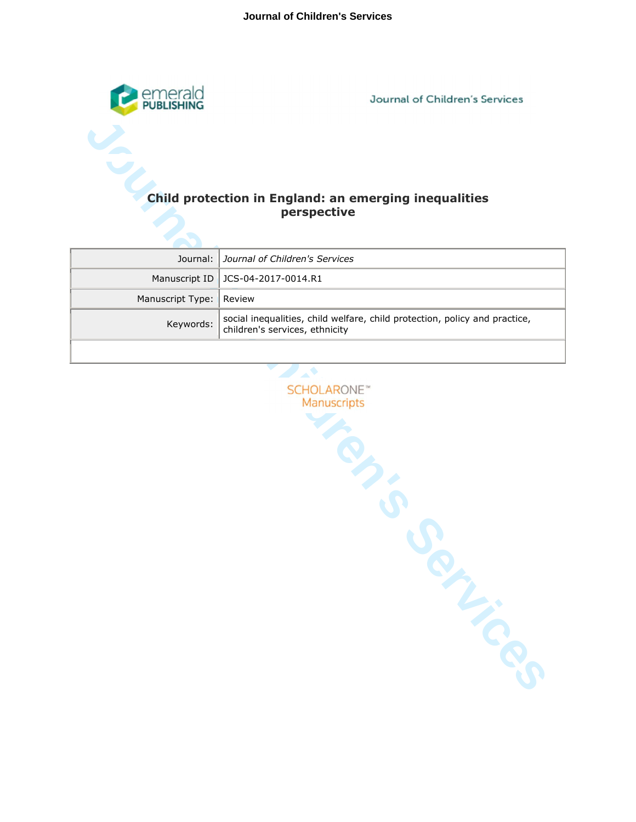

Journal of Children's Services

# **perspective**

|                         | Journal:   Journal of Children's Services                                                                              |
|-------------------------|------------------------------------------------------------------------------------------------------------------------|
|                         | Manuscript ID   JCS-04-2017-0014.R1                                                                                    |
| Manuscript Type: Review |                                                                                                                        |
|                         | social inequalities, child welfare, child protection, policy and practice,<br>Keywords: children's services, ethnicity |
|                         |                                                                                                                        |

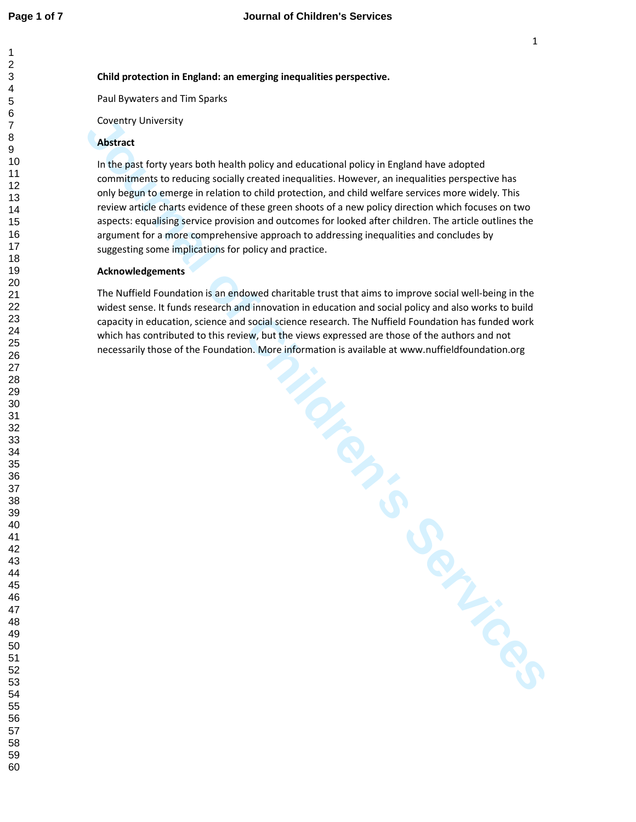#### **Child protection in England: an emerging inequalities perspective.**

Paul Bywaters and Tim Sparks

Coventry University

## **Abstract**

In the past forty years both health policy and educational policy in England have adopted commitments to reducing socially created inequalities. However, an inequalities perspective has only begun to emerge in relation to child protection, and child welfare services more widely. This review article charts evidence of these green shoots of a new policy direction which focuses on two aspects: equalising service provision and outcomes for looked after children. The article outlines the argument for a more comprehensive approach to addressing inequalities and concludes by suggesting some implications for policy and practice.

#### **Acknowledgements**

The Nuffield Foundation is an endowed charitable trust that aims to improve social well-being in the widest sense. It funds research and innovation in education and social policy and also works to build capacity in education, science and social science research. The Nuffield Foundation has funded work which has contributed to this review, but the views expressed are those of the authors and not necessarily those of the Foundation. More information is available at www.nuffieldfoundation.org

*Jenes Concerent)*<br> *Jenes Concerent)*<br> *Journal on is availab.*<br> *MARR*<br>
CONSILIANT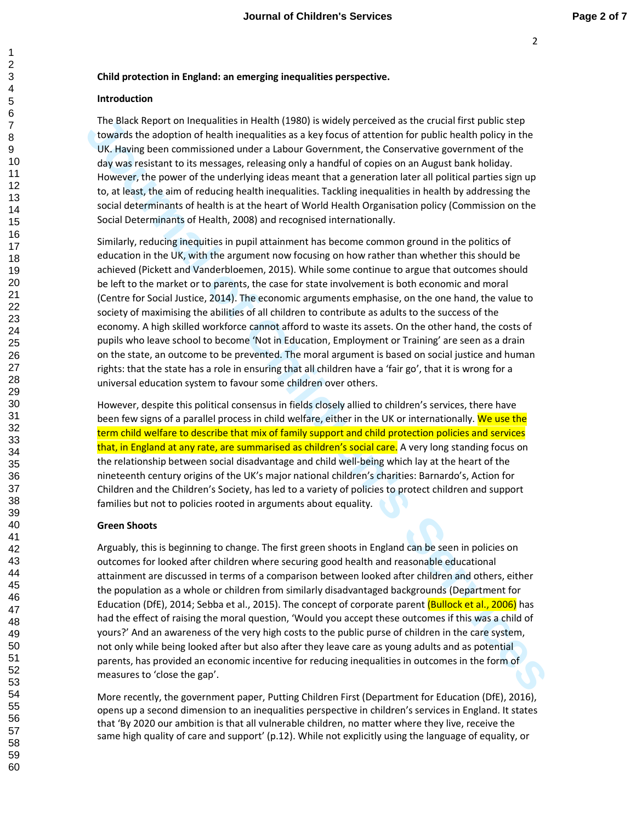## **Child protection in England: an emerging inequalities perspective.**

### **Introduction**

The Black Report on Inequalities in Health (1980) is widely perceived as the crucial first public step towards the adoption of health inequalities as a key focus of attention for public health policy in the UK. Having been commissioned under a Labour Government, the Conservative government of the day was resistant to its messages, releasing only a handful of copies on an August bank holiday. However, the power of the underlying ideas meant that a generation later all political parties sign up to, at least, the aim of reducing health inequalities. Tackling inequalities in health by addressing the social determinants of health is at the heart of World Health Organisation policy (Commission on the Social Determinants of Health, 2008) and recognised internationally.

The Black Report on hequalities in Health (1980) is widely percelled as the crucial first public leads the constrained in the production of the production in the constrained that the constrained on the constrained on the c Similarly, reducing inequities in pupil attainment has become common ground in the politics of education in the UK, with the argument now focusing on how rather than whether this should be achieved (Pickett and Vanderbloemen, 2015). While some continue to argue that outcomes should be left to the market or to parents, the case for state involvement is both economic and moral (Centre for Social Justice, 2014). The economic arguments emphasise, on the one hand, the value to society of maximising the abilities of all children to contribute as adults to the success of the economy. A high skilled workforce cannot afford to waste its assets. On the other hand, the costs of pupils who leave school to become 'Not in Education, Employment or Training' are seen as a drain on the state, an outcome to be prevented. The moral argument is based on social justice and human rights: that the state has a role in ensuring that all children have a 'fair go', that it is wrong for a universal education system to favour some children over others.

However, despite this political consensus in fields closely allied to children's services, there have been few signs of a parallel process in child welfare, either in the UK or internationally. We use the term child welfare to describe that mix of family support and child protection policies and services that, in England at any rate, are summarised as children's social care. A very long standing focus on the relationship between social disadvantage and child well-being which lay at the heart of the nineteenth century origins of the UK's major national children's charities: Barnardo's, Action for Children and the Children's Society, has led to a variety of policies to protect children and support families but not to policies rooted in arguments about equality.

### **Green Shoots**

Arguably, this is beginning to change. The first green shoots in England can be seen in policies on outcomes for looked after children where securing good health and reasonable educational attainment are discussed in terms of a comparison between looked after children and others, either the population as a whole or children from similarly disadvantaged backgrounds (Department for Education (DfE), 2014; Sebba et al., 2015). The concept of corporate parent (Bullock et al., 2006) has had the effect of raising the moral question, 'Would you accept these outcomes if this was a child of yours?' And an awareness of the very high costs to the public purse of children in the care system, not only while being looked after but also after they leave care as young adults and as potential parents, has provided an economic incentive for reducing inequalities in outcomes in the form of measures to 'close the gap'.

More recently, the government paper, Putting Children First (Department for Education (DfE), 2016), opens up a second dimension to an inequalities perspective in children's services in England. It states that 'By 2020 our ambition is that all vulnerable children, no matter where they live, receive the same high quality of care and support' (p.12). While not explicitly using the language of equality, or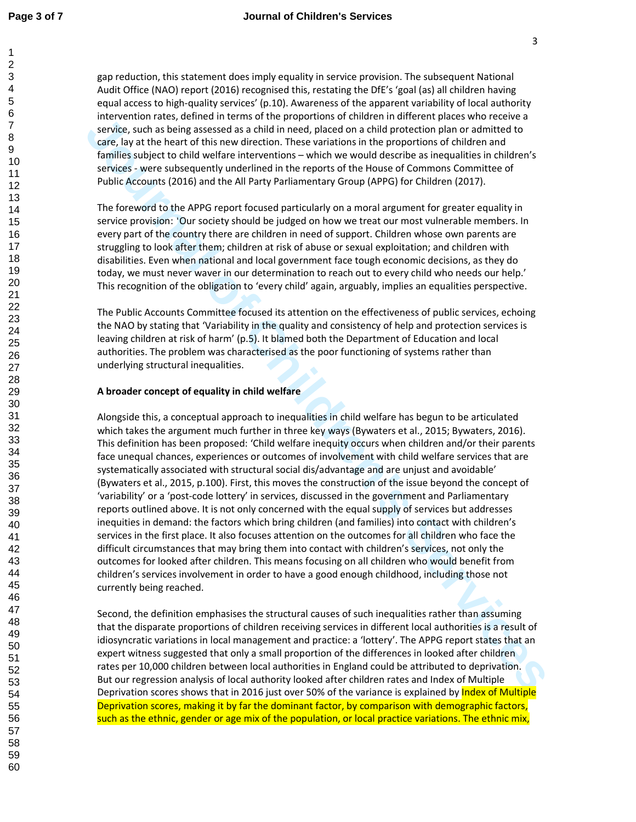gap reduction, this statement does imply equality in service provision. The subsequent National Audit Office (NAO) report (2016) recognised this, restating the DfE's 'goal (as) all children having equal access to high-quality services' (p.10). Awareness of the apparent variability of local authority intervention rates, defined in terms of the proportions of children in different places who receive a service, such as being assessed as a child in need, placed on a child protection plan or admitted to care, lay at the heart of this new direction. These variations in the proportions of children and families subject to child welfare interventions – which we would describe as inequalities in children's services - were subsequently underlined in the reports of the House of Commons Committee of Public Accounts (2016) and the All Party Parliamentary Group (APPG) for Children (2017).

The foreword to the APPG report focused particularly on a moral argument for greater equality in service provision: 'Our society should be judged on how we treat our most vulnerable members. In every part of the country there are children in need of support. Children whose own parents are struggling to look after them; children at risk of abuse or sexual exploitation; and children with disabilities. Even when national and local government face tough economic decisions, as they do today, we must never waver in our determination to reach out to every child who needs our help.' This recognition of the obligation to 'every child' again, arguably, implies an equalities perspective.

The Public Accounts Committee focused its attention on the effectiveness of public services, echoing the NAO by stating that 'Variability in the quality and consistency of help and protection services is leaving children at risk of harm' (p.5). It blamed both the Department of Education and local authorities. The problem was characterised as the poor functioning of systems rather than underlying structural inequalities.

## **A broader concept of equality in child welfare**

intervention rates, cenned in earn of the proportions of children's ofference was one converted and the services and the lease was central particles and proportions of children and the services was detected. The proportion Alongside this, a conceptual approach to inequalities in child welfare has begun to be articulated which takes the argument much further in three key ways (Bywaters et al., 2015; Bywaters, 2016). This definition has been proposed: 'Child welfare inequity occurs when children and/or their parents face unequal chances, experiences or outcomes of involvement with child welfare services that are systematically associated with structural social dis/advantage and are unjust and avoidable' (Bywaters et al., 2015, p.100). First, this moves the construction of the issue beyond the concept of 'variability' or a 'post-code lottery' in services, discussed in the government and Parliamentary reports outlined above. It is not only concerned with the equal supply of services but addresses inequities in demand: the factors which bring children (and families) into contact with children's services in the first place. It also focuses attention on the outcomes for all children who face the difficult circumstances that may bring them into contact with children's services, not only the outcomes for looked after children. This means focusing on all children who would benefit from children's services involvement in order to have a good enough childhood, including those not currently being reached.

Second, the definition emphasises the structural causes of such inequalities rather than assuming that the disparate proportions of children receiving services in different local authorities is a result of idiosyncratic variations in local management and practice: a 'lottery'. The APPG report states that an expert witness suggested that only a small proportion of the differences in looked after children rates per 10,000 children between local authorities in England could be attributed to deprivation. But our regression analysis of local authority looked after children rates and Index of Multiple Deprivation scores shows that in 2016 just over 50% of the variance is explained by **Index of Multiple** Deprivation scores, making it by far the dominant factor, by comparison with demographic factors, such as the ethnic, gender or age mix of the population, or local practice variations. The ethnic mix,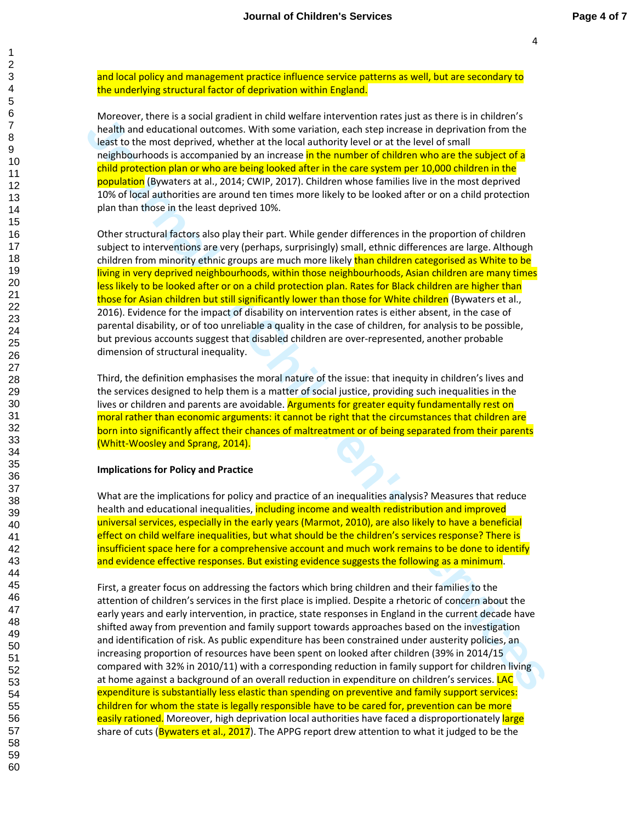and local policy and management practice influence service patterns as well, but are secondary to the underlying structural factor of deprivation within England.

Moreover, there is a social gradient in child welfare intervention rates just as there is in children's health and educational outcomes. With some variation, each step increase in deprivation from the least to the most deprived, whether at the local authority level or at the level of small neighbourhoods is accompanied by an increase in the number of children who are the subject of a child protection plan or who are being looked after in the care system per 10,000 children in the population (Bywaters at al., 2014; CWIP, 2017). Children whose families live in the most deprived 10% of local authorities are around ten times more likely to be looked after or on a child protection plan than those in the least deprived 10%.

Moreover, there is a social gradient in child weltare interesting on the significant interesting the method interesting the method interest of the blood and the method interest to the method interest of the blood and the p Other structural factors also play their part. While gender differences in the proportion of children subject to interventions are very (perhaps, surprisingly) small, ethnic differences are large. Although children from minority ethnic groups are much more likely than children categorised as White to be living in very deprived neighbourhoods, within those neighbourhoods, Asian children are many times less likely to be looked after or on a child protection plan. Rates for Black children are higher than those for Asian children but still significantly lower than those for White children (Bywaters et al., 2016). Evidence for the impact of disability on intervention rates is either absent, in the case of parental disability, or of too unreliable a quality in the case of children, for analysis to be possible, but previous accounts suggest that disabled children are over-represented, another probable dimension of structural inequality.

Third, the definition emphasises the moral nature of the issue: that inequity in children's lives and the services designed to help them is a matter of social justice, providing such inequalities in the lives or children and parents are avoidable. Arguments for greater equity fundamentally rest on moral rather than economic arguments: it cannot be right that the circumstances that children are born into significantly affect their chances of maltreatment or of being separated from their parents (Whitt-Woosley and Sprang, 2014).

### **Implications for Policy and Practice**

What are the implications for policy and practice of an inequalities analysis? Measures that reduce health and educational inequalities, including income and wealth redistribution and improved universal services, especially in the early years (Marmot, 2010), are also likely to have a beneficial effect on child welfare inequalities, but what should be the children's services response? There is insufficient space here for a comprehensive account and much work remains to be done to identify and evidence effective responses. But existing evidence suggests the following as a minimum.

First, a greater focus on addressing the factors which bring children and their families to the attention of children's services in the first place is implied. Despite a rhetoric of concern about the early years and early intervention, in practice, state responses in England in the current decade have shifted away from prevention and family support towards approaches based on the investigation and identification of risk. As public expenditure has been constrained under austerity policies, an increasing proportion of resources have been spent on looked after children (39% in 2014/15 compared with 32% in 2010/11) with a corresponding reduction in family support for children living at home against a background of an overall reduction in expenditure on children's services. LAC expenditure is substantially less elastic than spending on preventive and family support services: children for whom the state is legally responsible have to be cared for, prevention can be more easily rationed. Moreover, high deprivation local authorities have faced a disproportionately large share of cuts (**Bywaters et al., 2017**). The APPG report drew attention to what it judged to be the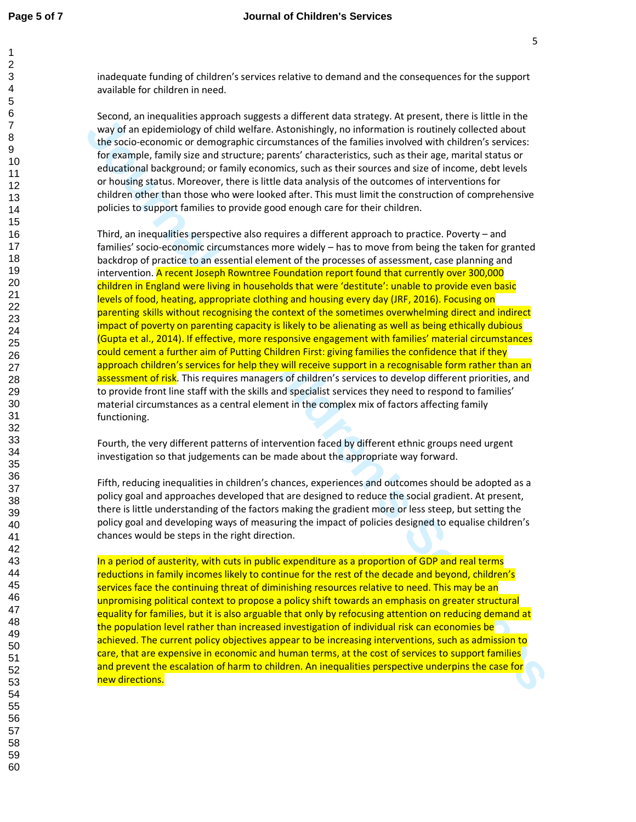inadequate funding of children's services relative to demand and the consequences for the support available for children in need.

Second, an inequalities approach suggests a different data strategy. At present, there is little in the way of an epidemiology of child welfare. Astonishingly, no information is routinely collected about the socio-economic or demographic circumstances of the families involved with children's services: for example, family size and structure; parents' characteristics, such as their age, marital status or educational background; or family economics, such as their sources and size of income, debt levels or housing status. Moreover, there is little data analysis of the outcomes of interventions for children other than those who were looked after. This must limit the construction of comprehensive policies to support families to provide good enough care for their children.

Second, an inequaliteits approach suggets a different data strategy. At preach, there is the control of complete the control of complete the control of Children's services in the control of Children's services of the Softw Third, an inequalities perspective also requires a different approach to practice. Poverty – and families' socio-economic circumstances more widely – has to move from being the taken for granted backdrop of practice to an essential element of the processes of assessment, case planning and intervention. A recent Joseph Rowntree Foundation report found that currently over 300,000 children in England were living in households that were 'destitute': unable to provide even basic levels of food, heating, appropriate clothing and housing every day (JRF, 2016). Focusing on parenting skills without recognising the context of the sometimes overwhelming direct and indirect impact of poverty on parenting capacity is likely to be alienating as well as being ethically dubious (Gupta et al., 2014). If effective, more responsive engagement with families' material circumstances could cement a further aim of Putting Children First: giving families the confidence that if they approach children's services for help they will receive support in a recognisable form rather than an assessment of risk. This requires managers of children's services to develop different priorities, and to provide front line staff with the skills and specialist services they need to respond to families' material circumstances as a central element in the complex mix of factors affecting family functioning.

Fourth, the very different patterns of intervention faced by different ethnic groups need urgent investigation so that judgements can be made about the appropriate way forward.

Fifth, reducing inequalities in children's chances, experiences and outcomes should be adopted as a policy goal and approaches developed that are designed to reduce the social gradient. At present, there is little understanding of the factors making the gradient more or less steep, but setting the policy goal and developing ways of measuring the impact of policies designed to equalise children's chances would be steps in the right direction.

In a period of austerity, with cuts in public expenditure as a proportion of GDP and real terms reductions in family incomes likely to continue for the rest of the decade and beyond, children's services face the continuing threat of diminishing resources relative to need. This may be an unpromising political context to propose a policy shift towards an emphasis on greater structural equality for families, but it is also arguable that only by refocusing attention on reducing demand at the population level rather than increased investigation of individual risk can economies be achieved. The current policy objectives appear to be increasing interventions, such as admission to care, that are expensive in economic and human terms, at the cost of services to support families and prevent the escalation of harm to children. An inequalities perspective underpins the case for new directions.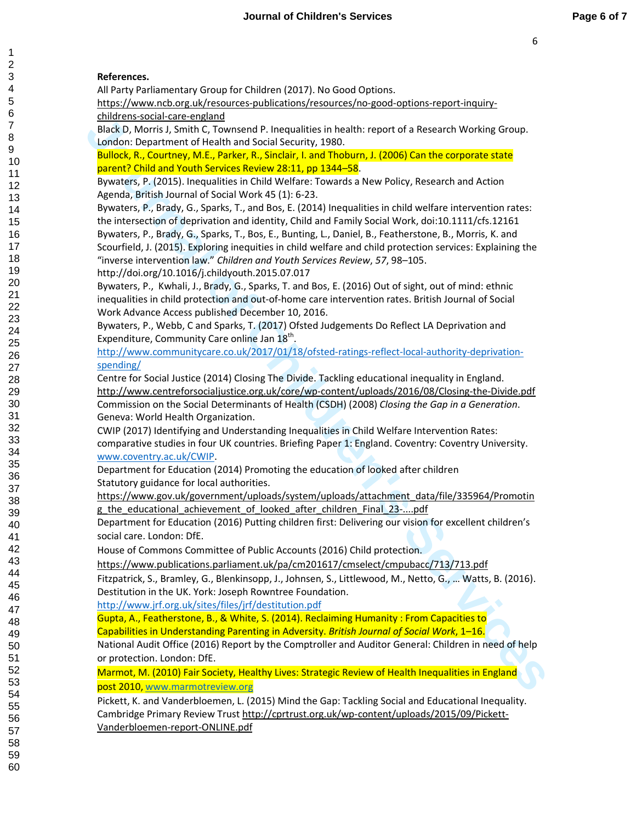# **Journal of Children's Services Page 6 of 7**

|           | https://www.ncb.org.uk/resources-publications/resources/no-good-options-report-inquiry-                                                                                                                                                                                                                                   |
|-----------|---------------------------------------------------------------------------------------------------------------------------------------------------------------------------------------------------------------------------------------------------------------------------------------------------------------------------|
|           | childrens-social-care-england                                                                                                                                                                                                                                                                                             |
|           | Black D, Morris J, Smith C, Townsend P. Inequalities in health: report of a Research Working Group.                                                                                                                                                                                                                       |
|           | London: Department of Health and Social Security, 1980.                                                                                                                                                                                                                                                                   |
|           | Bullock, R., Courtney, M.E., Parker, R., Sinclair, I. and Thoburn, J. (2006) Can the corporate state                                                                                                                                                                                                                      |
|           | parent? Child and Youth Services Review 28:11, pp 1344-58.                                                                                                                                                                                                                                                                |
|           | Bywaters, P. (2015). Inequalities in Child Welfare: Towards a New Policy, Research and Action<br>Agenda, British Journal of Social Work 45 (1): 6-23.                                                                                                                                                                     |
|           | Bywaters, P., Brady, G., Sparks, T., and Bos, E. (2014) Inequalities in child welfare intervention rates:<br>the intersection of deprivation and identity, Child and Family Social Work, doi:10.1111/cfs.12161<br>Bywaters, P., Brady, G., Sparks, T., Bos, E., Bunting, L., Daniel, B., Featherstone, B., Morris, K. and |
|           | Scourfield, J. (2015). Exploring inequities in child welfare and child protection services: Explaining the<br>"inverse intervention law." Children and Youth Services Review, 57, 98-105.<br>http://doi.org/10.1016/j.childyouth.2015.07.017                                                                              |
|           | Bywaters, P., Kwhali, J., Brady, G., Sparks, T. and Bos, E. (2016) Out of sight, out of mind: ethnic                                                                                                                                                                                                                      |
|           | inequalities in child protection and out-of-home care intervention rates. British Journal of Social                                                                                                                                                                                                                       |
|           | Work Advance Access published December 10, 2016.                                                                                                                                                                                                                                                                          |
|           | Bywaters, P., Webb, C and Sparks, T. (2017) Ofsted Judgements Do Reflect LA Deprivation and                                                                                                                                                                                                                               |
|           | Expenditure, Community Care online Jan 18 <sup>th</sup> .                                                                                                                                                                                                                                                                 |
|           | http://www.communitycare.co.uk/2017/01/18/ofsted-ratings-reflect-local-authority-deprivation-                                                                                                                                                                                                                             |
| spending/ |                                                                                                                                                                                                                                                                                                                           |
|           | Centre for Social Justice (2014) Closing The Divide. Tackling educational inequality in England.<br>http://www.centreforsocialjustice.org.uk/core/wp-content/uploads/2016/08/Closing-the-Divide.pdf                                                                                                                       |
|           | Commission on the Social Determinants of Health (CSDH) (2008) Closing the Gap in a Generation.                                                                                                                                                                                                                            |
|           | Geneva: World Health Organization.                                                                                                                                                                                                                                                                                        |
|           | CWIP (2017) Identifying and Understanding Inequalities in Child Welfare Intervention Rates:<br>comparative studies in four UK countries. Briefing Paper 1: England. Coventry: Coventry University.                                                                                                                        |
|           | www.coventry.ac.uk/CWIP                                                                                                                                                                                                                                                                                                   |
|           | Department for Education (2014) Promoting the education of looked after children                                                                                                                                                                                                                                          |
|           | Statutory guidance for local authorities.                                                                                                                                                                                                                                                                                 |
|           | https://www.gov.uk/government/uploads/system/uploads/attachment_data/file/335964/Promotin                                                                                                                                                                                                                                 |
|           | g the educational achievement of looked after children Final 23-pdf                                                                                                                                                                                                                                                       |
|           | Department for Education (2016) Putting children first: Delivering our vision for excellent children's                                                                                                                                                                                                                    |
|           | social care. London: DfE.                                                                                                                                                                                                                                                                                                 |
|           | House of Commons Committee of Public Accounts (2016) Child protection.                                                                                                                                                                                                                                                    |
|           | https://www.publications.parliament.uk/pa/cm201617/cmselect/cmpubacc/713/713.pdf                                                                                                                                                                                                                                          |
|           | Fitzpatrick, S., Bramley, G., Blenkinsopp, J., Johnsen, S., Littlewood, M., Netto, G.,  Watts, B. (2016).                                                                                                                                                                                                                 |
|           | Destitution in the UK. York: Joseph Rowntree Foundation.                                                                                                                                                                                                                                                                  |
|           | http://www.jrf.org.uk/sites/files/jrf/destitution.pdf                                                                                                                                                                                                                                                                     |
|           | Gupta, A., Featherstone, B., & White, S. (2014). Reclaiming Humanity: From Capacities to                                                                                                                                                                                                                                  |
|           | Capabilities in Understanding Parenting in Adversity. British Journal of Social Work, 1-16.                                                                                                                                                                                                                               |
|           | National Audit Office (2016) Report by the Comptroller and Auditor General: Children in need of help                                                                                                                                                                                                                      |
|           | or protection. London: DfE.                                                                                                                                                                                                                                                                                               |
|           | Marmot, M. (2010) Fair Society, Healthy Lives: Strategic Review of Health Inequalities in England                                                                                                                                                                                                                         |
|           | post 2010, www.marmotreview.org                                                                                                                                                                                                                                                                                           |

58 59 60